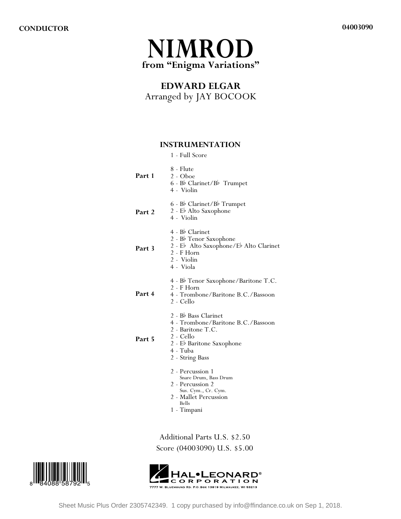

## **EDWARD ELGAR**

Arranged by JAY BOCOOK

## **INSTRUMENTATION**

- 1 Full Score
- 8 Flute 2 - Oboe  $6 - B$  Clarinet/ $B$  Trumpet 4 - Violin  $6$  - B<sub>b</sub> Clarinet/B<sub>b</sub> Trumpet 2 - E% Alto Saxophone 4 - Violin  $4 - B\frac{1}{2}$  Clarinet 2 - B% Tenor Saxophone 2 - E% Alto Saxophone/E% Alto Clarinet 2 - F Horn 2 - Violin 4 - Viola 4 - B% Tenor Saxophone/Baritone T.C. 2 - F Horn 4 - Trombone/Baritone B.C./Bassoon 2 - Cello 2 - B% Bass Clarinet 4 - Trombone/Baritone B.C./Bassoon 2 - Baritone T.C. 2 - Cello 2 - E% Baritone Saxophone 4 - Tuba 2 - String Bass 2 - Percussion 1 Snare Drum, Bass Drum 2 - Percussion 2 Sus. Cym., Cr. Cym. 2 - Mallet Percussion Bells **Part 1 Part 2 Part 3 Part 4 Part 5**
	- 1 Timpani

Additional Parts U.S. \$2.50

Score (04003090) U.S. \$5.00



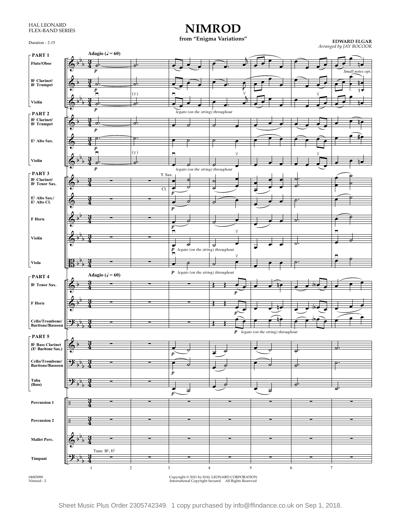HAL LEONARD FLEX-BAND SERIES

Duration - 2:15

## **NIMROD**

## **from "Enigma Variations" EDWARD ELGAR**

*Arranged by JAY BOCOOK*

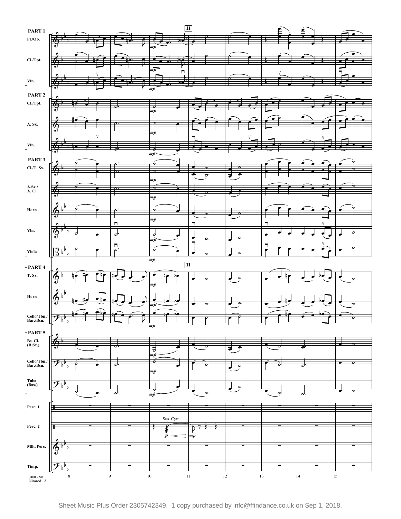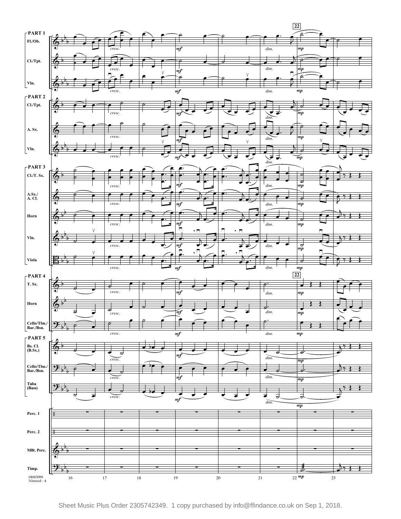

Sheet Music Plus Order 2305742349. 1 copy purchased by info@ffindance.co.uk on Sep 1, 2018.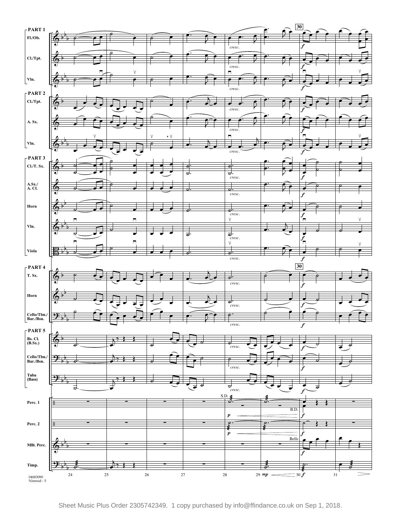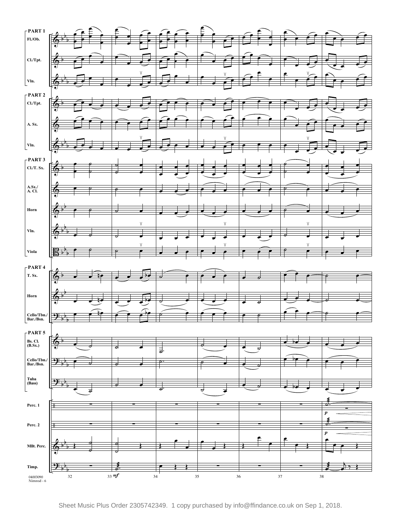